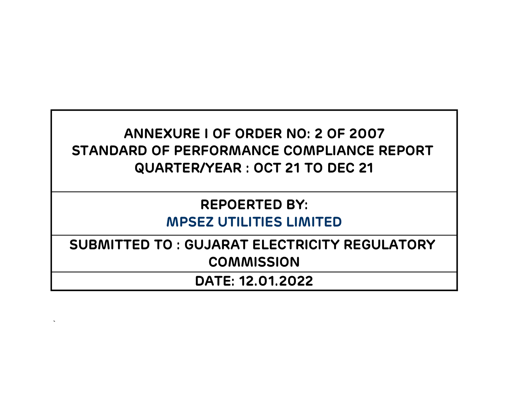# ANNEXURE I OF ORDER NO: 2 OF 2007 STANDARD OF PERFORMANCE COMPLIANCE REPORT QUARTER/YEAR : OCT 21 TO DEC 21

# REPOERTED BY: MPSEZ UTILITIES LIMITED

SUBMITTED TO : GUJARAT ELECTRICITY REGULATORY **COMMISSION** 

DATE: 12.01.2022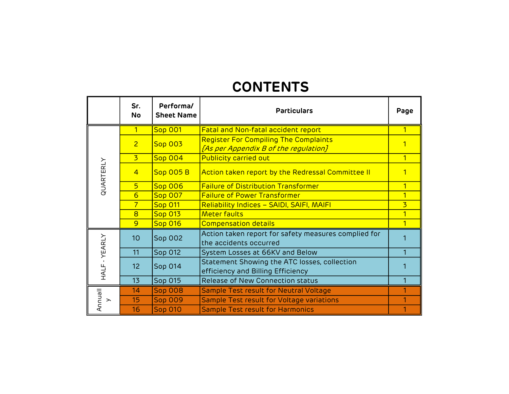# **CONTENTS**

|                          | Sr.<br><b>No</b>                                                     | Performa/<br><b>Sheet Name</b> | <b>Particulars</b>                                                                    | Page |
|--------------------------|----------------------------------------------------------------------|--------------------------------|---------------------------------------------------------------------------------------|------|
|                          | 1                                                                    | <b>Sop 001</b>                 | Fatal and Non-fatal accident report                                                   | 1    |
|                          | $\overline{2}$                                                       | <b>Sop 003</b>                 | <b>Register For Compiling The Complaints</b><br>[As per Appendix B of the regulation] |      |
|                          | $\overline{3}$                                                       | <b>Sop 004</b>                 | <b>Publicity carried out</b>                                                          | 1    |
| QUARTERLY                | $\overline{4}$                                                       | <b>Sop 005 B</b>               | Action taken report by the Redressal Committee II                                     |      |
|                          | 5 <sup>1</sup><br><b>Sop 006</b><br>$6\overline{}$<br><b>Sop 007</b> |                                | <b>Failure of Distribution Transformer</b>                                            |      |
|                          |                                                                      |                                | <b>Failure of Power Transformer</b>                                                   |      |
|                          | $\overline{7}$                                                       | <b>Sop 011</b>                 | Reliability Indices - SAIDI, SAIFI, MAIFI                                             | 3    |
|                          | 8                                                                    | <b>Sop 013</b>                 | <b>Meter faults</b>                                                                   | 1    |
|                          | 9                                                                    | <b>Sop 016</b>                 | <b>Compensation details</b>                                                           |      |
|                          | 10                                                                   | Sop 002                        | Action taken report for safety measures complied for<br>the accidents occurred        |      |
|                          | 11                                                                   | Sop 012                        | System Losses at 66KV and Below                                                       |      |
| HALF-YEARLY              | 12                                                                   | Sop 014                        | Statement Showing the ATC losses, collection<br>efficiency and Billing Efficiency     |      |
|                          | 13                                                                   | Sop 015                        | Release of New Connection status                                                      |      |
|                          | 14                                                                   | <b>Sop 008</b>                 | Sample Test result for Neutral Voltage                                                |      |
| Annuall<br>$\rightarrow$ | 15                                                                   | <b>Sop 009</b>                 | Sample Test result for Voltage variations                                             |      |
|                          | 16                                                                   | <b>Sop 010</b>                 | <b>Sample Test result for Harmonics</b>                                               |      |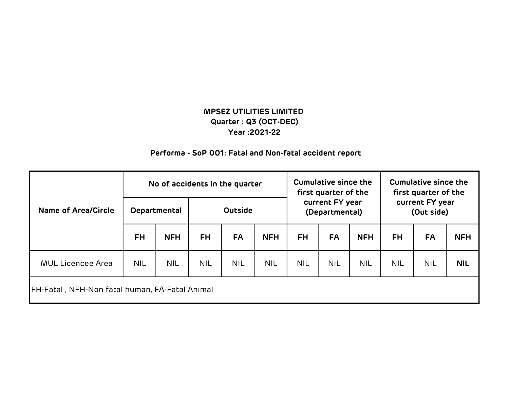### Performa - SoP 001: Fatal and Non-fatal accident report

|                                                | No of accidents in the quarter |            |                |            | <b>Cumulative since the</b><br>first quarter of the |            | <b>Cumulative since the</b><br>first quarter of the |            |            |            |            |
|------------------------------------------------|--------------------------------|------------|----------------|------------|-----------------------------------------------------|------------|-----------------------------------------------------|------------|------------|------------|------------|
| <b>Name of Area/Circle</b>                     | Departmental                   |            | <b>Outside</b> |            | current FY year<br>(Departmental)                   |            | current FY year<br>(Out side)                       |            |            |            |            |
|                                                | <b>FH</b>                      | <b>NFH</b> | <b>FH</b>      | <b>FA</b>  | <b>NFH</b>                                          | <b>FH</b>  | <b>FA</b>                                           | <b>NFH</b> | <b>FH</b>  | <b>FA</b>  | <b>NFH</b> |
| <b>MUL Licencee Area</b>                       | <b>NIL</b>                     | <b>NIL</b> | <b>NIL</b>     | <b>NIL</b> | <b>NIL</b>                                          | <b>NIL</b> | <b>NIL</b>                                          | <b>NIL</b> | <b>NIL</b> | <b>NIL</b> | <b>NIL</b> |
| FH-Fatal, NFH-Non fatal human, FA-Fatal Animal |                                |            |                |            |                                                     |            |                                                     |            |            |            |            |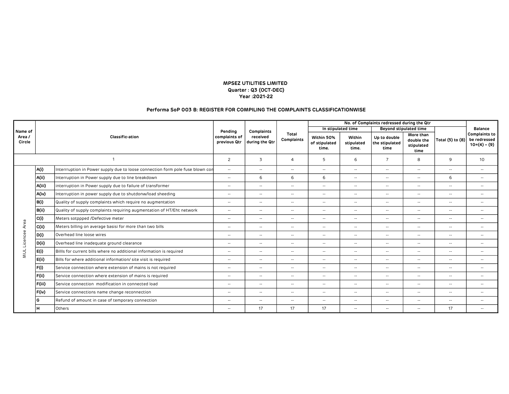#### Performa SoP 003 B: REGISTER FOR COMPILING THE COMPLAINTS CLASSIFICATIONWISE

|                  |              |                                                                                |         |                            |                            |                                      |                               | No. of Complaints redressed during the Qtr |                                               |                  |                                                      |
|------------------|--------------|--------------------------------------------------------------------------------|---------|----------------------------|----------------------------|--------------------------------------|-------------------------------|--------------------------------------------|-----------------------------------------------|------------------|------------------------------------------------------|
| Name of          |              |                                                                                | Pending | <b>Complaints</b>          |                            | In stipulated time                   |                               |                                            | <b>Beyond stipulated time</b>                 |                  | <b>Balance</b>                                       |
| Area /<br>Circle |              | Classific-ation<br>complaints of                                               |         | received<br>during the Qtr | <b>Total</b><br>Complaints | Within 50%<br>of stipulated<br>time. | Within<br>stipulated<br>time. | Up to double<br>the stipulated<br>time     | More than<br>double the<br>stipulated<br>time | Total (5) to (8) | <b>Complaints to</b><br>be redressed<br>$10=(4)-(9)$ |
|                  | $\mathbf{1}$ |                                                                                |         | 3                          | $\overline{4}$             | 5                                    | 6                             | $\overline{7}$                             | 8                                             | 9                | 10                                                   |
|                  | A(i)         | Interrruption in Power supply due to loose connection form pole fuse blown con | $\sim$  | $\sim$                     | $\sim$                     | $\sim$                               | $\sim$                        | $\sim$ $\sim$                              | $\sim$                                        | $\sim$           | $\sim$                                               |
|                  | A(ii)        | Interruption in Power supply due to line breakdown                             | $\sim$  | 6                          | 6                          | 6                                    | $\sim$                        | $\sim$ $\sim$                              | $\overline{\phantom{a}}$                      | 6                | $\sim$ $\sim$                                        |
|                  | A(iii)       | interruption in Power supply due to failure of transformer                     | $\sim$  | $\overline{\phantom{a}}$   | $\sim$                     | $\overline{\phantom{a}}$             | $\sim$                        | $\sim$ $\sim$                              | $\sim$                                        | $\sim$           | $\sim$ $\sim$                                        |
|                  | A(iv)        | Interruption in power supply due to shutdonw/load sheeding                     | $\sim$  | $\sim$                     | $\sim$                     | $\sim$ $\sim$                        | $\sim$                        | $\sim$                                     | $\sim$                                        | $\sim$           | $\sim$ $\sim$                                        |
|                  | B(i)         | Quality of supply complaints which require no augmentation                     |         | $\overline{\phantom{a}}$   | $ -$                       | $\overline{\phantom{a}}$             | $\overline{\phantom{a}}$      | $\sim$ $\sim$                              | $\sim$                                        | $\sim$ $\sim$    | $\sim$                                               |
|                  | B(ii)        | Quality of supply complaints requiring augmentation of HT/Eht network          |         | $\sim$                     | $\sim$                     | $\sim$                               | $\sim$                        | $\sim$                                     | $\sim$                                        | $\sim$ $\sim$    | $\sim$ $\sim$                                        |
|                  | C(i)         | Meters sotppped /Defective meter                                               |         | $\overline{a}$             | $\sim$                     | $-$                                  | $\sim$                        | $\sim$                                     | $\overline{\phantom{a}}$                      | $\sim$           | $\sim$                                               |
|                  | C(ii)        | Meters billing on average basisi for more than two bills                       | $\sim$  | $\sim$                     | $\sim$                     | $\sim$                               | $\sim$                        | $\sim$                                     | $\overline{\phantom{a}}$                      | $\sim$           | $\sim$ $\sim$                                        |
|                  | D(i)         | Overhead line loose wires                                                      | $\sim$  | $\sim$                     | $\sim$                     | $\sim$                               | $\sim$                        | $\sim$ $\sim$                              | $\overline{\phantom{a}}$                      | $\sim$           | $\sim$ $\sim$                                        |
| Licencee Area    | D(ii)        | Overhead line inadequate ground clearance                                      | $\sim$  | $\overline{\phantom{a}}$   | $\sim$                     | $\overline{\phantom{a}}$             | $\sim$                        | $\sim$ $\sim$                              | $\sim$                                        | $\sim$           | $\sim$ $\sim$                                        |
| MUL              | E(i)         | Billls for current bills where no additional information is required           | $\sim$  | $\overline{\phantom{a}}$   | $\sim$                     | $\sim$ $\sim$                        | $\sim$                        | $\sim$                                     | $\overline{\phantom{a}}$                      | $\sim$           | $\sim$ $\sim$                                        |
|                  | E(ii)        | Bills for where additional information/ site visit is required                 | $\sim$  | $\sim$                     | $\sim$                     | $\sim$                               | $\sim$                        | $\sim$ $\sim$                              | $\sim$                                        | $\sim$           | $\sim$ $\sim$                                        |
|                  | F(i)         | Service connection where extension of mains is not required                    | $\sim$  | $\sim$                     | $\sim$                     | $\sim$                               | $\sim$                        | $\sim$                                     | $\overline{\phantom{a}}$                      | $\sim$           | $\sim$ $\sim$                                        |
|                  | F(ii)        | Service connection where extension of mains is required                        | $\sim$  | $\sim$                     | $\sim$                     | $\sim$                               | $\sim$                        | $\sim$                                     | $\sim$                                        | $\sim$           | $\sim$ $\sim$                                        |
|                  | F(iii)       | Service connection modification in connected load                              | $\sim$  | $\overline{a}$             | $\sim$                     | $\overline{\phantom{a}}$             | $\sim$                        | $\sim$ $\sim$                              | $\sim$                                        | $\sim$           | $\sim$ $\sim$                                        |
|                  | F(iv)        | Service connections name change reconnection                                   | $\sim$  | $\sim$                     | $\sim$                     | $\sim$ $\sim$                        | $\sim$                        | $\sim$                                     | $\sim$                                        | $\sim$ $\sim$    | $\sim$ $\sim$                                        |
|                  | G            | Refund of amount in case of temporary connection                               | $\sim$  | $\overline{\phantom{a}}$   | $\sim$                     | $\overline{\phantom{a}}$             | $\sim$                        | $\sim$ $\sim$                              | $\overline{\phantom{a}}$                      | $\sim$           | $\sim$                                               |
|                  | н            | Others                                                                         | $\sim$  | 17                         | 17                         | 17                                   | $\sim$ $-$                    | $\sim$                                     | $\sim$                                        | 17               | $\sim$                                               |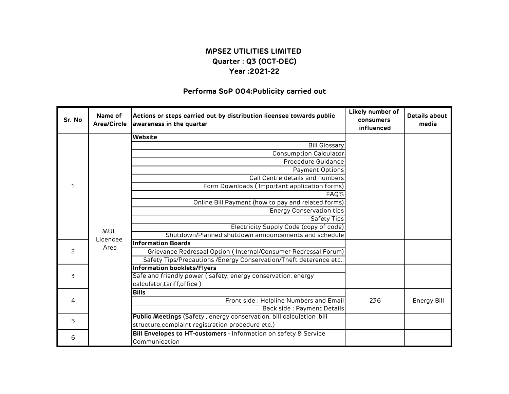#### Performa SoP 004:Publicity carried out

| Sr. No         | Name of<br>Area/Circle | Actions or steps carried out by distribution licensee towards public<br>awareness in the quarter | Likely number of<br>consumers<br>influenced | <b>Details about</b><br>media |
|----------------|------------------------|--------------------------------------------------------------------------------------------------|---------------------------------------------|-------------------------------|
|                |                        | Website                                                                                          |                                             |                               |
|                |                        | <b>Bill Glossary</b>                                                                             |                                             |                               |
|                |                        | <b>Consumption Calculator</b>                                                                    |                                             |                               |
|                |                        | Procedure Guidance                                                                               |                                             |                               |
|                |                        | Payment Options                                                                                  |                                             |                               |
|                |                        | Call Centre details and numbers                                                                  |                                             |                               |
|                |                        | Form Downloads (Important application forms)                                                     |                                             |                               |
|                |                        | FAQ'S                                                                                            |                                             |                               |
|                |                        | Online Bill Payment (how to pay and related forms)                                               |                                             |                               |
|                |                        | <b>Energy Conservation tips</b>                                                                  |                                             |                               |
|                |                        | Safety Tips                                                                                      |                                             |                               |
|                |                        | Electricity Supply Code (copy of code)                                                           |                                             |                               |
|                | MUL                    | Shutdown/Planned shutdown announcements and schedule                                             |                                             |                               |
|                | Licencee               | <b>Information Boards</b>                                                                        |                                             |                               |
| $\mathcal{P}$  | Area                   | Grievance Redresaal Option (Internal/Consumer Redressal Forum)                                   |                                             |                               |
|                |                        | Safety Tips/Precautions /Energy Conservation/Theft deterence etc                                 |                                             |                               |
|                |                        | <b>Information booklets/Flyers</b>                                                               |                                             |                               |
| $\overline{3}$ |                        | Safe and friendly power (safety, energy conservation, energy                                     |                                             |                               |
|                |                        | calculator, tariff, office)                                                                      |                                             |                               |
|                |                        | <b>Bills</b>                                                                                     |                                             |                               |
| 4              |                        | Front side : Helpline Numbers and Email                                                          | 236                                         | Energy Bill                   |
|                |                        | Back side : Payment Details                                                                      |                                             |                               |
|                |                        | Public Meetings (Safety, energy conservation, bill calculation, bill                             |                                             |                               |
| 5              |                        | structure, complaint registration procedure etc.)                                                |                                             |                               |
|                |                        | Bill Envelopes to HT-customers - Information on safety & Service                                 |                                             |                               |
| 6              |                        | Communication                                                                                    |                                             |                               |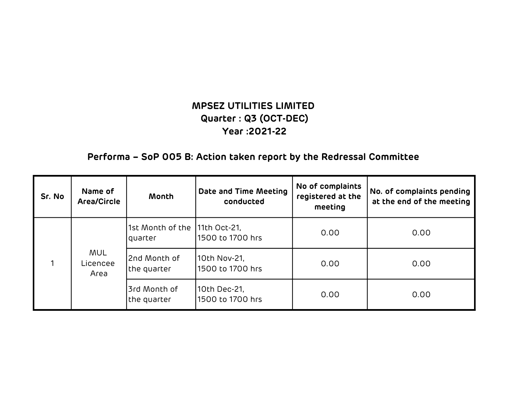# Performa – SoP 005 B: Action taken report by the Redressal Committee

| Sr. No | Name of<br><b>Area/Circle</b>  | Month                                    | Date and Time Meeting<br>conducted | No of complaints<br>registered at the<br>meeting | No. of complaints pending<br>at the end of the meeting |
|--------|--------------------------------|------------------------------------------|------------------------------------|--------------------------------------------------|--------------------------------------------------------|
|        | <b>MUL</b><br>Licencee<br>Area | 1st Month of the 11th Oct-21,<br>quarter | 1500 to 1700 hrs                   | 0.00                                             | 0.00                                                   |
|        |                                | 2nd Month of<br>the quarter              | 10th Nov-21,<br>1500 to 1700 hrs   | 0.00                                             | 0.00                                                   |
|        |                                | 3rd Month of<br>the quarter              | 10th Dec-21,<br>1500 to 1700 hrs   | 0.00                                             | 0.00                                                   |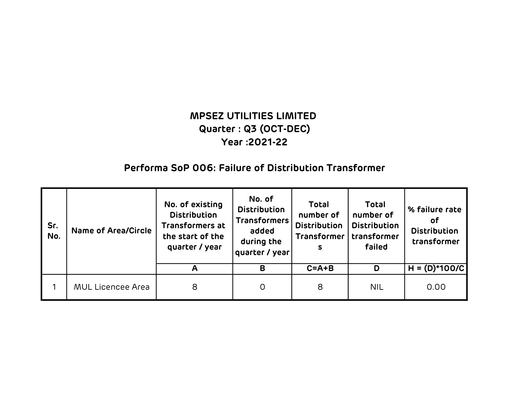# MPSEZ UTILITIES LIMITED Year :2021-22 Quarter : Q3 (OCT-DEC)

### Performa SoP 006: Failure of Distribution Transformer

| Sr.<br>No. | <b>Name of Area/Circle</b> | No. of existing<br><b>Distribution</b><br><b>Transformers at</b><br>the start of the<br>quarter / year | No. of<br><b>Distribution</b><br><b>Transformers</b><br>added<br>during the<br>quarter / year | <b>Total</b><br>number of<br><b>Distribution</b><br><b>Transformer</b><br>S | <b>Total</b><br>number of<br><b>Distribution</b><br>transformer<br>failed | % failure rate<br>οf<br><b>Distribution</b><br>transformer |
|------------|----------------------------|--------------------------------------------------------------------------------------------------------|-----------------------------------------------------------------------------------------------|-----------------------------------------------------------------------------|---------------------------------------------------------------------------|------------------------------------------------------------|
|            |                            |                                                                                                        | B                                                                                             | $C = A + B$                                                                 | D                                                                         | $H = (D)*100/C$                                            |
|            | <b>MUL Licencee Area</b>   | 8                                                                                                      | 0                                                                                             | 8                                                                           | <b>NIL</b>                                                                | 0.00                                                       |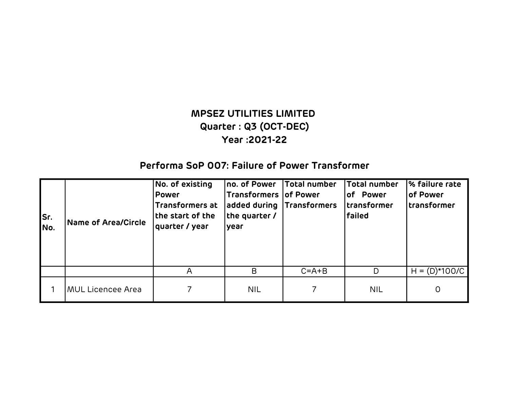## Performa SoP 007: Failure of Power Transformer

| Sr.<br>INo. | Name of Area/Circle      | No. of existing<br><b>Power</b><br>Transformers at<br>the start of the<br>quarter / year | no. of Power<br>Transformers of Power<br>added during Transformers<br>the quarter /<br>year | Total number | Total number<br>of Power<br> transformer<br><b>failed</b> | <b>% failure rate</b><br><b>of Power</b><br> transformer |
|-------------|--------------------------|------------------------------------------------------------------------------------------|---------------------------------------------------------------------------------------------|--------------|-----------------------------------------------------------|----------------------------------------------------------|
|             |                          | A                                                                                        | B                                                                                           | $C = A + B$  | D                                                         | $H = (D)*100/C$                                          |
|             | <b>MUL Licencee Area</b> |                                                                                          | <b>NIL</b>                                                                                  |              | <b>NIL</b>                                                | 0                                                        |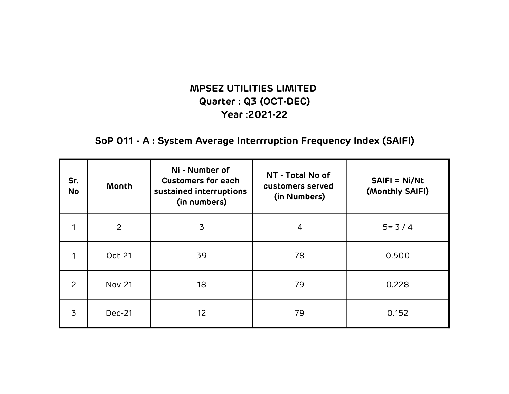# SoP 011 - A : System Average Interrruption Frequency Index (SAIFI)

| Sr.<br><b>No</b> | Month          | Ni - Number of<br><b>Customers for each</b><br>sustained interruptions<br>(in numbers) | NT - Total No of<br>customers served<br>(in Numbers) | <b>SAIFI = Ni/Nt</b><br>(Monthly SAIFI) |
|------------------|----------------|----------------------------------------------------------------------------------------|------------------------------------------------------|-----------------------------------------|
| 1                | $\overline{2}$ | 3                                                                                      | 4                                                    | $5 = 3 / 4$                             |
|                  | <b>Oct-21</b>  | 39                                                                                     | 78                                                   | 0.500                                   |
| 2                | <b>Nov-21</b>  | 18                                                                                     | 79                                                   | 0.228                                   |
| 3                | <b>Dec-21</b>  | 12 <sup>2</sup>                                                                        | 79                                                   | 0.152                                   |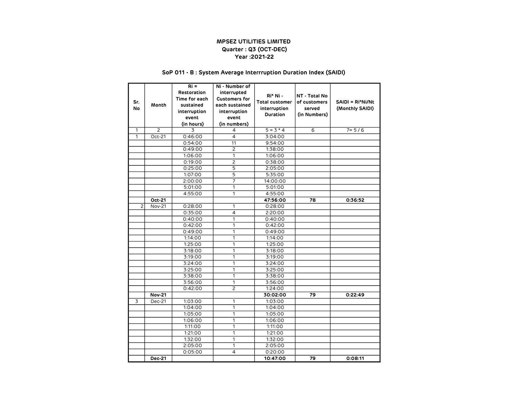#### SoP 011 - B : System Average Interrruption Duration Index (SAIDI)

|           |                | $Ri =$        | Ni - Number of       |                       |                |                  |
|-----------|----------------|---------------|----------------------|-----------------------|----------------|------------------|
|           |                | Restoration   | interrupted          |                       |                |                  |
|           |                | Time for each | <b>Customers for</b> | Ri* Ni -              | NT - Total No  |                  |
| Sr.       | Month          | sustained     | each sustained       | <b>Total customer</b> | of customers   | SAIDI = Ri*Ni/Nt |
| <b>No</b> |                | interruption  | interruption         | interruption          | served         | (Monthly SAIDI)  |
|           |                | event         | event                | Duration              | (in Numbers)   |                  |
|           |                | (in hours)    | (in numbers)         |                       |                |                  |
| 1         | $\overline{c}$ | 3             | 4                    | $5 = 3 * 4$           | $\overline{6}$ | $7 = 5/6$        |
| 1         | Oct-21         | 0:46:00       | 4                    | 3:04:00               |                |                  |
|           |                | 0:54:00       | 11                   | 9:54:00               |                |                  |
|           |                | 0:49:00       | $\overline{c}$       | 1:38:00               |                |                  |
|           |                | 1:06:00       | 1                    | 1:06:00               |                |                  |
|           |                | 0:19:00       | 2                    | 0:38:00               |                |                  |
|           |                | 0:25:00       | $\overline{5}$       | 2:05:00               |                |                  |
|           |                | 1:07:00       | $\overline{5}$       | 5:35:00               |                |                  |
|           |                | 2:00:00       | $\overline{7}$       | 14:00:00              |                |                  |
|           |                | 5:01:00       | 1                    | 5:01:00               |                |                  |
|           |                | 4:55:00       | 1                    | 4:55:00               |                |                  |
|           | Oct-21         |               |                      | 47:56:00              | 78             | 0:36:52          |
| 2         | <b>Nov-21</b>  | 0:28:00       | 1                    | 0:28:00               |                |                  |
|           |                | 0:35:00       | 4                    | 2:20:00               |                |                  |
|           |                | 0:40:00       | 1                    | 0:40:00               |                |                  |
|           |                | 0:42:00       | 1                    | 0:42:00               |                |                  |
|           |                | 0:49:00       | 1                    | 0:49:00               |                |                  |
|           |                | 1:14:00       | 1                    | 1:14:00               |                |                  |
|           |                | 1:25:00       | 1                    | 1:25:00               |                |                  |
|           |                | 3:18:00       | 1                    | 3:18:00               |                |                  |
|           |                | 3:19:00       | 1                    | 3:19:00               |                |                  |
|           |                | 3:24:00       | 1                    | 3:24:00               |                |                  |
|           |                | 3:25:00       | 1                    | 3:25:00               |                |                  |
|           |                | 3:38:00       | 1                    | 3:38:00               |                |                  |
|           |                | 3:56:00       | 1                    | 3:56:00               |                |                  |
|           |                | 0:42:00       | 2                    | 1:24:00               |                |                  |
|           | <b>Nov-21</b>  |               |                      | 30:02:00              | 79             | 0:22:49          |
| 3         | Dec-21         | 1:03:00       | 1                    | 1:03:00               |                |                  |
|           |                | 1:04:00       | 1                    | 1:04:00               |                |                  |
|           |                | 1:05:00       | 1                    | 1:05:00               |                |                  |
|           |                | 1:06:00       | 1                    | 1:06:00               |                |                  |
|           |                | 1:11:00       | 1                    | 1:11:00               |                |                  |
|           |                | 1:21:00       | 1                    | 1:21:00               |                |                  |
|           |                | 1:32:00       | 1                    | 1:32:00               |                |                  |
|           |                | 2:05:00       | 1                    | 2:05:00               |                |                  |
|           |                | 0:05:00       | 4                    | 0:20:00               |                |                  |
|           | Dec-21         |               |                      | 10:47:00              | 79             | 0:08:11          |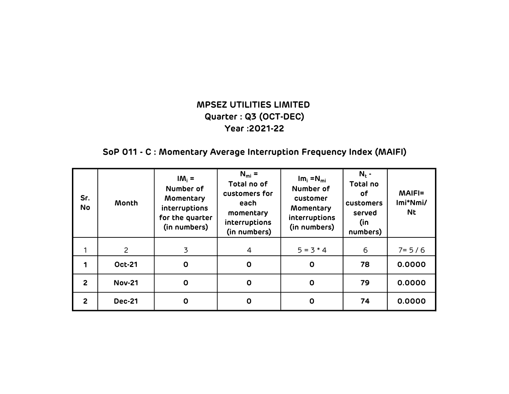# SoP 011 - C : Momentary Average Interruption Frequency Index (MAIFI)

| Sr.<br><b>No</b> | Month          | $IM_i =$<br>Number of<br>Momentary<br>interruptions<br>for the quarter<br>(in numbers) | $N_{mi}$ =<br>Total no of<br>customers for<br>each<br>momentary<br>interruptions<br>(in numbers) | $Im_i = N_{mi}$<br>Number of<br>customer<br>Momentary<br>interruptions<br>(in numbers) | $N_t$ -<br>Total no<br>оf<br>customers<br>served<br>(in<br>numbers) | <b>MAIFI=</b><br>Imi*Nmi/<br><b>Nt</b> |
|------------------|----------------|----------------------------------------------------------------------------------------|--------------------------------------------------------------------------------------------------|----------------------------------------------------------------------------------------|---------------------------------------------------------------------|----------------------------------------|
|                  | $\overline{c}$ | 3                                                                                      | $\overline{4}$                                                                                   | $5 = 3 * 4$                                                                            | 6                                                                   | $7 = 5/6$                              |
|                  | <b>Oct-21</b>  | $\mathbf 0$                                                                            | $\mathbf 0$                                                                                      | $\mathbf 0$                                                                            | 78                                                                  | 0.0000                                 |
| $\overline{2}$   | <b>Nov-21</b>  | $\mathbf 0$                                                                            | $\mathbf 0$                                                                                      | $\mathbf 0$                                                                            | 79                                                                  | 0.0000                                 |
| $\overline{2}$   | <b>Dec-21</b>  | 0                                                                                      | $\mathbf 0$                                                                                      | $\mathbf 0$                                                                            | 74                                                                  | 0.0000                                 |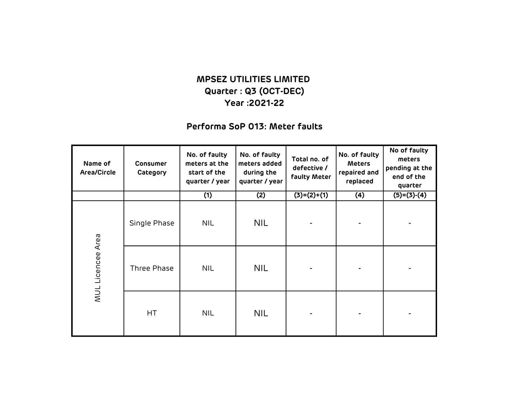### Performa SoP 013: Meter faults

| Name of<br>Area/Circle | Consumer<br>Category | No. of faulty<br>meters at the<br>start of the<br>quarter / year | No. of faulty<br>meters added<br>during the<br>quarter / year | Total no. of<br>defective /<br>faulty Meter | No. of faulty<br><b>Meters</b><br>repaired and<br>replaced | No of faulty<br>meters<br>pending at the<br>end of the<br>quarter |
|------------------------|----------------------|------------------------------------------------------------------|---------------------------------------------------------------|---------------------------------------------|------------------------------------------------------------|-------------------------------------------------------------------|
|                        |                      | (1)                                                              | (2)                                                           | $(3)=(2)+(1)$                               | (4)                                                        | $(5)=(3)-(4)$                                                     |
| MUL Licencee Area      | Single Phase         | <b>NIL</b>                                                       | <b>NIL</b>                                                    |                                             |                                                            |                                                                   |
|                        | Three Phase          | NIL.                                                             | <b>NIL</b>                                                    |                                             |                                                            |                                                                   |
|                        | HT                   | <b>NIL</b>                                                       | NIL.                                                          |                                             |                                                            |                                                                   |